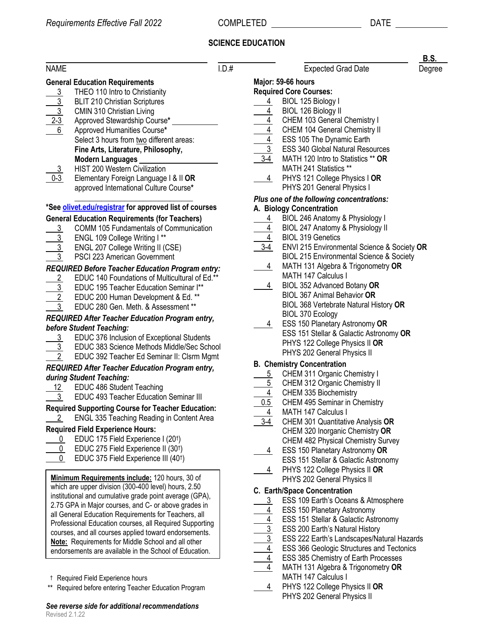## **SCIENCE EDUCATION**

|                                                                                               |                                                                                                                                                                                                                                                                                                                                                                                                                                                                                                                                                                                                                     |                                                                       |                                                                                                                                                                                                                                                                                                                                                                                                                                                                                                                            | D.J.   |
|-----------------------------------------------------------------------------------------------|---------------------------------------------------------------------------------------------------------------------------------------------------------------------------------------------------------------------------------------------------------------------------------------------------------------------------------------------------------------------------------------------------------------------------------------------------------------------------------------------------------------------------------------------------------------------------------------------------------------------|-----------------------------------------------------------------------|----------------------------------------------------------------------------------------------------------------------------------------------------------------------------------------------------------------------------------------------------------------------------------------------------------------------------------------------------------------------------------------------------------------------------------------------------------------------------------------------------------------------------|--------|
| <b>NAME</b>                                                                                   |                                                                                                                                                                                                                                                                                                                                                                                                                                                                                                                                                                                                                     | 1.D.#                                                                 | <b>Expected Grad Date</b>                                                                                                                                                                                                                                                                                                                                                                                                                                                                                                  | Degree |
| $\frac{\frac{3}{3}}{\frac{2 \cdot 3}{6}}$<br><u>3</u><br>$0 - 3$                              | <b>General Education Requirements</b><br>THEO 110 Intro to Christianity<br><b>BLIT 210 Christian Scriptures</b><br>CMIN 310 Christian Living<br>Approved Stewardship Course*<br>Approved Humanities Course*<br>Select 3 hours from two different areas:<br>Fine Arts, Literature, Philosophy,<br><b>Modern Languages</b><br>HIST 200 Western Civilization<br>Elementary Foreign Language I & II OR<br>approved International Culture Course*                                                                                                                                                                        | $\overline{3-4}$<br>$\overline{4}$                                    | Major: 59-66 hours<br><b>Required Core Courses:</b><br>BIOL 125 Biology I<br>BIOL 126 Biology II<br>CHEM 103 General Chemistry I<br>CHEM 104 General Chemistry II<br>$\frac{4}{\sqrt{4}}$ ESS 105 The Dynamic Earth<br>3 ESS 340 Global Natural Resources<br>MATH 120 Intro to Statistics ** OR<br>MATH 241 Statistics **<br>PHYS 121 College Physics I OR<br>PHYS 201 General Physics I                                                                                                                                   |        |
|                                                                                               |                                                                                                                                                                                                                                                                                                                                                                                                                                                                                                                                                                                                                     |                                                                       | Plus one of the following concentrations:                                                                                                                                                                                                                                                                                                                                                                                                                                                                                  |        |
|                                                                                               | *See <b>olivet.edu/registrar</b> for approved list of courses                                                                                                                                                                                                                                                                                                                                                                                                                                                                                                                                                       |                                                                       | A. Biology Concentration                                                                                                                                                                                                                                                                                                                                                                                                                                                                                                   |        |
| $\frac{3}{2}$<br>$\frac{3}{3}$<br>$\frac{2}{\frac{3}{2}}$<br>$\overline{3}$<br>$\overline{3}$ | <b>General Education Requirements (for Teachers)</b><br><b>COMM 105 Fundamentals of Communication</b><br>ENGL 109 College Writing I**<br>ENGL 207 College Writing II (CSE)<br>PSCI 223 American Government<br>REQUIRED Before Teacher Education Program entry:<br>EDUC 140 Foundations of Multicultural of Ed.**<br>EDUC 195 Teacher Education Seminar I**<br>EDUC 200 Human Development & Ed. **<br>EDUC 280 Gen. Meth. & Assessment **<br>REQUIRED After Teacher Education Program entry,<br>before Student Teaching:<br>EDUC 376 Inclusion of Exceptional Students<br>EDUC 383 Science Methods Middle/Sec School | $\overline{3-4}$<br>$\overline{4}$<br>$\frac{4}{ }$<br>$\overline{4}$ | BIOL 246 Anatomy & Physiology I<br>$\frac{4}{1}$<br>BIOL 247 Anatomy & Physiology II<br><b>BIOL 319 Genetics</b><br>ENVI 215 Environmental Science & Society OR<br>BIOL 215 Environmental Science & Society<br>MATH 131 Algebra & Trigonometry OR<br>MATH 147 Calculus I<br>BIOL 352 Advanced Botany OR<br><b>BIOL 367 Animal Behavior OR</b><br>BIOL 368 Vertebrate Natural History OR<br>BIOL 370 Ecology<br>ESS 150 Planetary Astronomy OR<br>ESS 151 Stellar & Galactic Astronomy OR<br>PHYS 122 College Physics II OR |        |
| $\overline{2}$                                                                                | EDUC 392 Teacher Ed Seminar II: Clsrm Mgmt                                                                                                                                                                                                                                                                                                                                                                                                                                                                                                                                                                          |                                                                       | PHYS 202 General Physics II                                                                                                                                                                                                                                                                                                                                                                                                                                                                                                |        |
| <u>12</u><br>$\mathfrak{Z}$<br>0<br>0<br>0                                                    | REQUIRED After Teacher Education Program entry,<br>during Student Teaching:<br>EDUC 486 Student Teaching<br>EDUC 493 Teacher Education Seminar III<br><b>Required Supporting Course for Teacher Education:</b><br><b>ENGL 335 Teaching Reading in Content Area</b><br><b>Required Field Experience Hours:</b><br>EDUC 175 Field Experience I (20 <sup>t</sup> )<br>EDUC 275 Field Experience II (30 <sup>t</sup> )<br>EDUC 375 Field Experience III (40 <sup>t</sup> )                                                                                                                                              | <u>5</u><br>0.5<br>4<br>3-4<br>$\frac{4}{1}$<br>$\overline{4}$        | <b>B. Chemistry Concentration</b><br>CHEM 311 Organic Chemistry I<br>CHEM 312 Organic Chemistry II<br>CHEM 335 Biochemistry<br>CHEM 495 Seminar in Chemistry<br>MATH 147 Calculus I<br>CHEM 301 Quantitative Analysis OR<br>CHEM 320 Inorganic Chemistry OR<br><b>CHEM 482 Physical Chemistry Survey</b><br>ESS 150 Planetary Astronomy OR<br>ESS 151 Stellar & Galactic Astronomy<br>PHYS 122 College Physics II OR                                                                                                       |        |
|                                                                                               | Minimum Requirements include: 120 hours, 30 of<br>which are upper division (300-400 level) hours, 2.50<br>institutional and cumulative grade point average (GPA),<br>2.75 GPA in Major courses, and C- or above grades in<br>all General Education Requirements for Teachers, all<br>Professional Education courses, all Required Supporting<br>courses, and all courses applied toward endorsements.<br>Note: Requirements for Middle School and all other<br>endorsements are available in the School of Education.                                                                                               | $\overline{3}$                                                        | PHYS 202 General Physics II<br>C. Earth/Space Concentration<br>ESS 109 Earth's Oceans & Atmosphere<br><b>ESS 150 Planetary Astronomy</b><br>ESS 151 Stellar & Galactic Astronomy<br>ESS 200 Earth's Natural History<br>ESS 222 Earth's Landscapes/Natural Hazards<br><b>ESS 366 Geologic Structures and Tectonics</b>                                                                                                                                                                                                      |        |

† Required Field Experience hours

\*\* Required before entering Teacher Education Program

Revised 2.1.22 *See reverse side for additional recommendations*

4 ESS 366 Geologic Structures and Tectonics  $\overline{4}$  ESS 385 Chemistry of Earth Processes 4 MATH 131 Algebra & Trigonometry **OR** MATH 147 Calculus I 4 PHYS 122 College Physics II **OR** PHYS 202 General Physics II